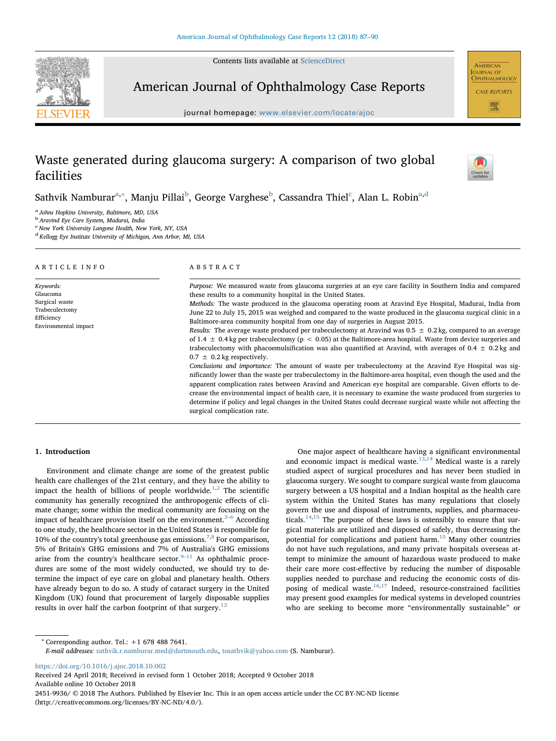Contents lists available at [ScienceDirect](http://www.sciencedirect.com/science/journal/24519936)



American Journal of Ophthalmology Case Reports

journal homepage: [www.elsevier.com/locate/ajoc](https://www.elsevier.com/locate/ajoc)



# Waste generated during glaucoma surgery: A comparison of two global facilities



Sathvik Namburar<sup>[a,](#page-0-0)[∗](#page-0-1)</sup>, Manju Pillai<sup>[b](#page-0-2)</sup>, George Varghese<sup>b</sup>, Cassan[d](#page-0-4)ra Thiel<sup>c</sup>, Alan L. Robin<sup>a,d</sup>

<span id="page-0-0"></span><sup>a</sup> Johns Hopkins University, Baltimore, MD, USA

<span id="page-0-2"></span>b<br>Aravind Eye Care System, Madurai, India

<span id="page-0-3"></span><sup>c</sup> New York University Langone Health, New York, NY, USA

<span id="page-0-4"></span><sup>d</sup> Kellogg Eye Institute University of Michigan, Ann Arbor, MI, USA

| ARTICLE INFO                                                                                    | ABSTRACT                                                                                                                                                                                                                                                                                                                                                                                                                                                                                                                                                                                                                                                                                                                                                                                                                                                                         |  |  |
|-------------------------------------------------------------------------------------------------|----------------------------------------------------------------------------------------------------------------------------------------------------------------------------------------------------------------------------------------------------------------------------------------------------------------------------------------------------------------------------------------------------------------------------------------------------------------------------------------------------------------------------------------------------------------------------------------------------------------------------------------------------------------------------------------------------------------------------------------------------------------------------------------------------------------------------------------------------------------------------------|--|--|
| Keywords:<br>Glaucoma<br>Surgical waste<br>Trabeculectomy<br>Efficiency<br>Environmental impact | Purpose: We measured waste from glaucoma surgeries at an eye care facility in Southern India and compared<br>these results to a community hospital in the United States.<br>Methods: The waste produced in the glaucoma operating room at Aravind Eye Hospital, Madurai, India from<br>June 22 to July 15, 2015 was weighed and compared to the waste produced in the glaucoma surgical clinic in a<br>Baltimore-area community hospital from one day of surgeries in August 2015.<br>Results: The average waste produced per trabeculectomy at Aravind was $0.5 \pm 0.2$ kg, compared to an average<br>of 1.4 $\pm$ 0.4 kg per trabeculectomy ( $p < 0.05$ ) at the Baltimore-area hospital. Waste from device surgeries and<br>trabeculectomy with phacoemulsification was also quantified at Aravind, with averages of 0.4 $\pm$ 0.2 kg and<br>$0.7 \pm 0.2$ kg respectively. |  |  |
|                                                                                                 | Conclusions and importance: The amount of waste per trabeculectomy at the Aravind Eye Hospital was sig-<br>nificantly lower than the waste per trabeculectomy in the Baltimore-area hospital, even though the used and the<br>apparent complication rates between Aravind and American eye hospital are comparable. Given efforts to de-<br>crease the environmental impact of health care, it is necessary to examine the waste produced from surgeries to<br>determine if policy and legal changes in the United States could decrease surgical waste while not affecting the<br>surgical complication rate.                                                                                                                                                                                                                                                                   |  |  |

# 1. Introduction

Environment and climate change are some of the greatest public health care challenges of the 21st century, and they have the ability to impact the health of billions of people worldwide.<sup>[1,](#page-3-0)[2](#page-3-1)</sup> The scientific community has generally recognized the anthropogenic effects of climate change; some within the medical community are focusing on the impact of healthcare provision itself on the environment. $3-6$  $3-6$  According to one study, the healthcare sector in the United States is responsible for 10% of the country's total greenhouse gas emissions.<sup>[7](#page-3-3)[,8](#page-3-4)</sup> For comparison, 5% of Britain's GHG emissions and 7% of Australia's GHG emissions arise from the country's healthcare sector. $9-11$  $9-11$  As ophthalmic procedures are some of the most widely conducted, we should try to determine the impact of eye care on global and planetary health. Others have already begun to do so. A study of cataract surgery in the United Kingdom (UK) found that procurement of largely disposable supplies results in over half the carbon footprint of that surgery.<sup>[12](#page-3-6)</sup>

One major aspect of healthcare having a significant environmental and economic impact is medical waste. $13,14$  $13,14$  Medical waste is a rarely studied aspect of surgical procedures and has never been studied in glaucoma surgery. We sought to compare surgical waste from glaucoma surgery between a US hospital and a Indian hospital as the health care system within the United States has many regulations that closely govern the use and disposal of instruments, supplies, and pharmaceuticals.[14,](#page-3-8)[15](#page-3-9) The purpose of these laws is ostensibly to ensure that surgical materials are utilized and disposed of safely, thus decreasing the potential for complications and patient harm.<sup>[15](#page-3-9)</sup> Many other countries do not have such regulations, and many private hospitals overseas attempt to minimize the amount of hazardous waste produced to make their care more cost-effective by reducing the number of disposable supplies needed to purchase and reducing the economic costs of disposing of medical waste. $16,17$  $16,17$  Indeed, resource-constrained facilities may present good examples for medical systems in developed countries who are seeking to become more "environmentally sustainable" or

<span id="page-0-1"></span><sup>∗</sup> Corresponding author. Tel.: +1 678 488 7641.

E-mail addresses: [sathvik.r.namburar.med@dartmouth.edu,](mailto:sathvik.r.namburar.med@dartmouth.edu) [tosathvik@yahoo.com](mailto:tosathvik@yahoo.com) (S. Namburar).

<https://doi.org/10.1016/j.ajoc.2018.10.002>

Received 24 April 2018; Received in revised form 1 October 2018; Accepted 9 October 2018 Available online 10 October 2018

2451-9936/ © 2018 The Authors. Published by Elsevier Inc. This is an open access article under the CC BY-NC-ND license (http://creativecommons.org/licenses/BY-NC-ND/4.0/).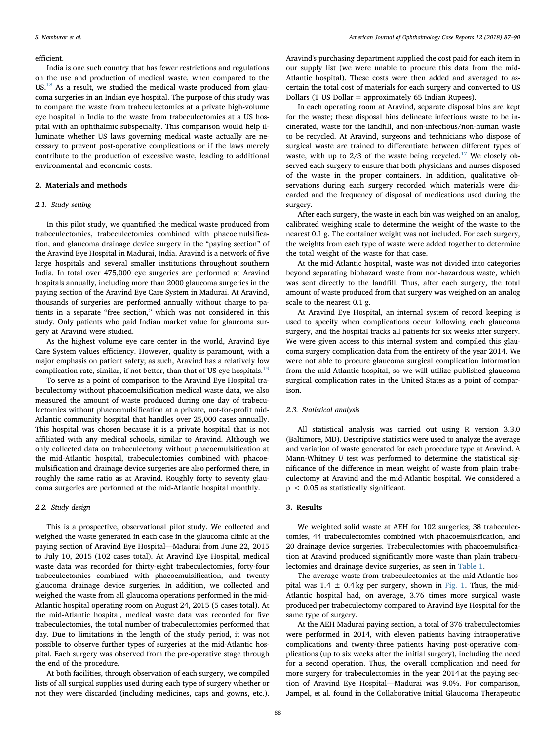#### efficient.

India is one such country that has fewer restrictions and regulations on the use and production of medical waste, when compared to the US.<sup>[18](#page-3-12)</sup> As a result, we studied the medical waste produced from glaucoma surgeries in an Indian eye hospital. The purpose of this study was to compare the waste from trabeculectomies at a private high-volume eye hospital in India to the waste from trabeculectomies at a US hospital with an ophthalmic subspecialty. This comparison would help illuminate whether US laws governing medical waste actually are necessary to prevent post-operative complications or if the laws merely contribute to the production of excessive waste, leading to additional environmental and economic costs.

# 2. Materials and methods

# 2.1. Study setting

In this pilot study, we quantified the medical waste produced from trabeculectomies, trabeculectomies combined with phacoemulsification, and glaucoma drainage device surgery in the "paying section" of the Aravind Eye Hospital in Madurai, India. Aravind is a network of five large hospitals and several smaller institutions throughout southern India. In total over 475,000 eye surgeries are performed at Aravind hospitals annually, including more than 2000 glaucoma surgeries in the paying section of the Aravind Eye Care System in Madurai. At Aravind, thousands of surgeries are performed annually without charge to patients in a separate "free section," which was not considered in this study. Only patients who paid Indian market value for glaucoma surgery at Aravind were studied.

As the highest volume eye care center in the world, Aravind Eye Care System values efficiency. However, quality is paramount, with a major emphasis on patient safety; as such, Aravind has a relatively low complication rate, similar, if not better, than that of US eye hospitals.<sup>[19](#page-3-13)</sup>

To serve as a point of comparison to the Aravind Eye Hospital trabeculectomy without phacoemulsification medical waste data, we also measured the amount of waste produced during one day of trabeculectomies without phacoemulsification at a private, not-for-profit mid-Atlantic community hospital that handles over 25,000 cases annually. This hospital was chosen because it is a private hospital that is not affiliated with any medical schools, similar to Aravind. Although we only collected data on trabeculectomy without phacoemulsification at the mid-Atlantic hospital, trabeculectomies combined with phacoemulsification and drainage device surgeries are also performed there, in roughly the same ratio as at Aravind. Roughly forty to seventy glaucoma surgeries are performed at the mid-Atlantic hospital monthly.

## 2.2. Study design

This is a prospective, observational pilot study. We collected and weighed the waste generated in each case in the glaucoma clinic at the paying section of Aravind Eye Hospital—Madurai from June 22, 2015 to July 10, 2015 (102 cases total). At Aravind Eye Hospital, medical waste data was recorded for thirty-eight trabeculectomies, forty-four trabeculectomies combined with phacoemulsification, and twenty glaucoma drainage device surgeries. In addition, we collected and weighed the waste from all glaucoma operations performed in the mid-Atlantic hospital operating room on August 24, 2015 (5 cases total). At the mid-Atlantic hospital, medical waste data was recorded for five trabeculectomies, the total number of trabeculectomies performed that day. Due to limitations in the length of the study period, it was not possible to observe further types of surgeries at the mid-Atlantic hospital. Each surgery was observed from the pre-operative stage through the end of the procedure.

At both facilities, through observation of each surgery, we compiled lists of all surgical supplies used during each type of surgery whether or not they were discarded (including medicines, caps and gowns, etc.).

Aravind's purchasing department supplied the cost paid for each item in our supply list (we were unable to procure this data from the mid-Atlantic hospital). These costs were then added and averaged to ascertain the total cost of materials for each surgery and converted to US Dollars (1 US Dollar = approximately 65 Indian Rupees).

In each operating room at Aravind, separate disposal bins are kept for the waste; these disposal bins delineate infectious waste to be incinerated, waste for the landfill, and non-infectious/non-human waste to be recycled. At Aravind, surgeons and technicians who dispose of surgical waste are trained to differentiate between different types of waste, with up to 2/3 of the waste being recycled.<sup>[17](#page-3-11)</sup> We closely observed each surgery to ensure that both physicians and nurses disposed of the waste in the proper containers. In addition, qualitative observations during each surgery recorded which materials were discarded and the frequency of disposal of medications used during the surgery.

After each surgery, the waste in each bin was weighed on an analog, calibrated weighing scale to determine the weight of the waste to the nearest 0.1 g. The container weight was not included. For each surgery, the weights from each type of waste were added together to determine the total weight of the waste for that case.

At the mid-Atlantic hospital, waste was not divided into categories beyond separating biohazard waste from non-hazardous waste, which was sent directly to the landfill. Thus, after each surgery, the total amount of waste produced from that surgery was weighed on an analog scale to the nearest 0.1 g.

At Aravind Eye Hospital, an internal system of record keeping is used to specify when complications occur following each glaucoma surgery, and the hospital tracks all patients for six weeks after surgery. We were given access to this internal system and compiled this glaucoma surgery complication data from the entirety of the year 2014. We were not able to procure glaucoma surgical complication information from the mid-Atlantic hospital, so we will utilize published glaucoma surgical complication rates in the United States as a point of comparison.

# 2.3. Statistical analysis

All statistical analysis was carried out using R version 3.3.0 (Baltimore, MD). Descriptive statistics were used to analyze the average and variation of waste generated for each procedure type at Aravind. A Mann-Whitney U test was performed to determine the statistical significance of the difference in mean weight of waste from plain trabeculectomy at Aravind and the mid-Atlantic hospital. We considered a p < 0.05 as statistically significant.

## 3. Results

We weighted solid waste at AEH for 102 surgeries; 38 trabeculectomies, 44 trabeculectomies combined with phacoemulsification, and 20 drainage device surgeries. Trabeculectomies with phacoemulsification at Aravind produced significantly more waste than plain trabeculectomies and drainage device surgeries, as seen in [Table 1.](#page-2-0)

The average waste from trabeculectomies at the mid-Atlantic hospital was  $1.4 \pm 0.4$  kg per surgery, shown in [Fig. 1](#page-2-1). Thus, the mid-Atlantic hospital had, on average, 3.76 times more surgical waste produced per trabeculectomy compared to Aravind Eye Hospital for the same type of surgery.

At the AEH Madurai paying section, a total of 376 trabeculectomies were performed in 2014, with eleven patients having intraoperative complications and twenty-three patients having post-operative complications (up to six weeks after the initial surgery), including the need for a second operation. Thus, the overall complication and need for more surgery for trabeculectomies in the year 2014 at the paying section of Aravind Eye Hospital—Madurai was 9.0%. For comparison, Jampel, et al. found in the Collaborative Initial Glaucoma Therapeutic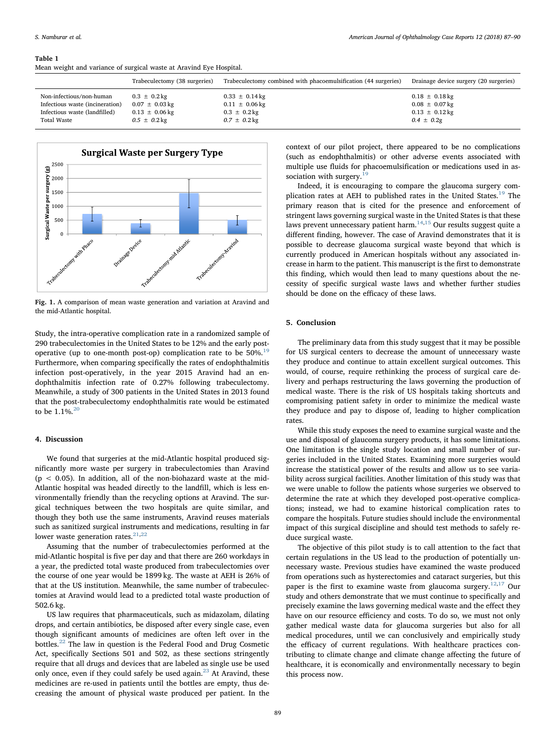#### <span id="page-2-0"></span>Table 1

Mean weight and variance of surgical waste at Aravind Eye Hospital.

|                                 | Trabeculectomy (38 surgeries) | Trabeculectomy combined with phacoemulsification (44 surgeries) | Drainage device surgery (20 surgeries) |
|---------------------------------|-------------------------------|-----------------------------------------------------------------|----------------------------------------|
| Non-infectious/non-human        | $0.3 \pm 0.2 \,\mathrm{kg}$   | $0.33 \pm 0.14 \,\mathrm{kg}$                                   | $0.18 \pm 0.18$ kg                     |
| Infectious waste (incineration) | $0.07 \pm 0.03 \,\mathrm{kg}$ | $0.11 \pm 0.06$ kg                                              | $0.08 \pm 0.07$ kg                     |
| Infectious waste (landfilled)   | $0.13 \pm 0.06 \,\mathrm{kg}$ | $0.3 \pm 0.2 \,\mathrm{kg}$                                     | $0.13 \pm 0.12 \,\mathrm{kg}$          |
| <b>Total Waste</b>              | $0.5 \pm 0.2 \,\mathrm{kg}$   | $0.7 \pm 0.2 \,\mathrm{kg}$                                     | $0.4 \pm 0.2$ g                        |

<span id="page-2-1"></span>

Fig. 1. A comparison of mean waste generation and variation at Aravind and the mid-Atlantic hospital.

Study, the intra-operative complication rate in a randomized sample of 290 trabeculectomies in the United States to be 12% and the early postoperative (up to one-month post-op) complication rate to be  $50\%$ .<sup>[19](#page-3-13)</sup> Furthermore, when comparing specifically the rates of endophthalmitis infection post-operatively, in the year 2015 Aravind had an endophthalmitis infection rate of 0.27% following trabeculectomy. Meanwhile, a study of 300 patients in the United States in 2013 found that the post-trabeculectomy endophthalmitis rate would be estimated to be  $1.1\%$ <sup>[20](#page-3-14)</sup>

## 4. Discussion

We found that surgeries at the mid-Atlantic hospital produced significantly more waste per surgery in trabeculectomies than Aravind  $(p < 0.05)$ . In addition, all of the non-biohazard waste at the mid-Atlantic hospital was headed directly to the landfill, which is less environmentally friendly than the recycling options at Aravind. The surgical techniques between the two hospitals are quite similar, and though they both use the same instruments, Aravind reuses materials such as sanitized surgical instruments and medications, resulting in far lower waste generation rates. $21,22$  $21,22$  $21,22$ 

Assuming that the number of trabeculectomies performed at the mid-Atlantic hospital is five per day and that there are 260 workdays in a year, the predicted total waste produced from trabeculectomies over the course of one year would be 1899 kg. The waste at AEH is 26% of that at the US institution. Meanwhile, the same number of trabeculectomies at Aravind would lead to a predicted total waste production of 502.6 kg.

US law requires that pharmaceuticals, such as midazolam, dilating drops, and certain antibiotics, be disposed after every single case, even though significant amounts of medicines are often left over in the bottles. $^{22}$  $^{22}$  $^{22}$  The law in question is the Federal Food and Drug Cosmetic Act, specifically Sections 501 and 502, as these sections stringently require that all drugs and devices that are labeled as single use be used only once, even if they could safely be used again.<sup>[23](#page-3-17)</sup> At Aravind, these medicines are re-used in patients until the bottles are empty, thus decreasing the amount of physical waste produced per patient. In the context of our pilot project, there appeared to be no complications (such as endophthalmitis) or other adverse events associated with multiple use fluids for phacoemulsification or medications used in association with surgery. $19$ 

Indeed, it is encouraging to compare the glaucoma surgery com-plication rates at AEH to published rates in the United States.<sup>[19](#page-3-13)</sup> The primary reason that is cited for the presence and enforcement of stringent laws governing surgical waste in the United States is that these laws prevent unnecessary patient harm. $14,15$  $14,15$  Our results suggest quite a different finding, however. The case of Aravind demonstrates that it is possible to decrease glaucoma surgical waste beyond that which is currently produced in American hospitals without any associated increase in harm to the patient. This manuscript is the first to demonstrate this finding, which would then lead to many questions about the necessity of specific surgical waste laws and whether further studies should be done on the efficacy of these laws.

### 5. Conclusion

The preliminary data from this study suggest that it may be possible for US surgical centers to decrease the amount of unnecessary waste they produce and continue to attain excellent surgical outcomes. This would, of course, require rethinking the process of surgical care delivery and perhaps restructuring the laws governing the production of medical waste. There is the risk of US hospitals taking shortcuts and compromising patient safety in order to minimize the medical waste they produce and pay to dispose of, leading to higher complication rates.

While this study exposes the need to examine surgical waste and the use and disposal of glaucoma surgery products, it has some limitations. One limitation is the single study location and small number of surgeries included in the United States. Examining more surgeries would increase the statistical power of the results and allow us to see variability across surgical facilities. Another limitation of this study was that we were unable to follow the patients whose surgeries we observed to determine the rate at which they developed post-operative complications; instead, we had to examine historical complication rates to compare the hospitals. Future studies should include the environmental impact of this surgical discipline and should test methods to safely reduce surgical waste.

The objective of this pilot study is to call attention to the fact that certain regulations in the US lead to the production of potentially unnecessary waste. Previous studies have examined the waste produced from operations such as hysterectomies and cataract surgeries, but this paper is the first to examine waste from glaucoma surgery.<sup>[12](#page-3-6),[17](#page-3-11)</sup> Our study and others demonstrate that we must continue to specifically and precisely examine the laws governing medical waste and the effect they have on our resource efficiency and costs. To do so, we must not only gather medical waste data for glaucoma surgeries but also for all medical procedures, until we can conclusively and empirically study the efficacy of current regulations. With healthcare practices contributing to climate change and climate change affecting the future of healthcare, it is economically and environmentally necessary to begin this process now.